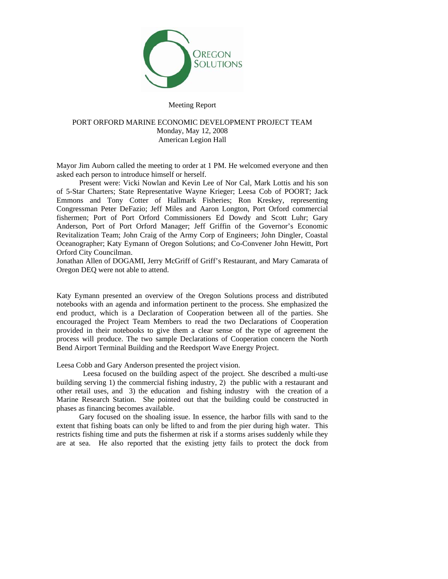

### Meeting Report

# PORT ORFORD MARINE ECONOMIC DEVELOPMENT PROJECT TEAM Monday, May 12, 2008 American Legion Hall

Mayor Jim Auborn called the meeting to order at 1 PM. He welcomed everyone and then asked each person to introduce himself or herself.

 Present were: Vicki Nowlan and Kevin Lee of Nor Cal, Mark Lottis and his son of 5-Star Charters; State Representative Wayne Krieger; Leesa Cob of POORT; Jack Emmons and Tony Cotter of Hallmark Fisheries; Ron Kreskey, representing Congressman Peter DeFazio; Jeff Miles and Aaron Longton, Port Orford commercial fishermen; Port of Port Orford Commissioners Ed Dowdy and Scott Luhr; Gary Anderson, Port of Port Orford Manager; Jeff Griffin of the Governor's Economic Revitalization Team; John Craig of the Army Corp of Engineers; John Dingler, Coastal Oceanographer; Katy Eymann of Oregon Solutions; and Co-Convener John Hewitt, Port Orford City Councilman.

Jonathan Allen of DOGAMI, Jerry McGriff of Griff's Restaurant, and Mary Camarata of Oregon DEQ were not able to attend.

Katy Eymann presented an overview of the Oregon Solutions process and distributed notebooks with an agenda and information pertinent to the process. She emphasized the end product, which is a Declaration of Cooperation between all of the parties. She encouraged the Project Team Members to read the two Declarations of Cooperation provided in their notebooks to give them a clear sense of the type of agreement the process will produce. The two sample Declarations of Cooperation concern the North Bend Airport Terminal Building and the Reedsport Wave Energy Project.

Leesa Cobb and Gary Anderson presented the project vision.

 Leesa focused on the building aspect of the project. She described a multi-use building serving 1) the commercial fishing industry, 2) the public with a restaurant and other retail uses, and 3) the education and fishing industry with the creation of a Marine Research Station. She pointed out that the building could be constructed in phases as financing becomes available.

 Gary focused on the shoaling issue. In essence, the harbor fills with sand to the extent that fishing boats can only be lifted to and from the pier during high water. This restricts fishing time and puts the fishermen at risk if a storms arises suddenly while they are at sea. He also reported that the existing jetty fails to protect the dock from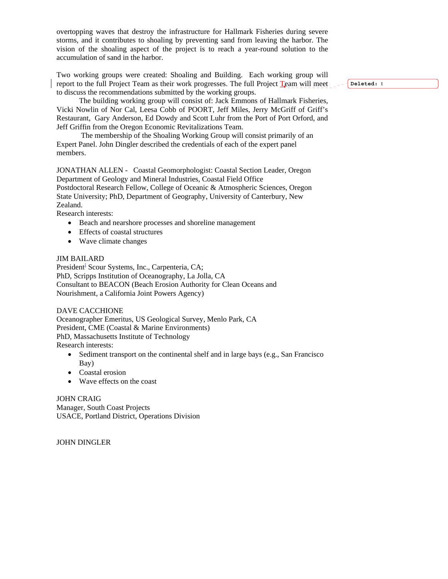overtopping waves that destroy the infrastructure for Hallmark Fisheries during severe storms, and it contributes to shoaling by preventing sand from leaving the harbor. The vision of the shoaling aspect of the project is to reach a year-round solution to the accumulation of sand in the harbor.

Two working groups were created: Shoaling and Building. Each working group will report to the full Project Team as their work progresses. The full Project Team will meet to discuss the recommendations submitted by the working groups.

 The building working group will consist of: Jack Emmons of Hallmark Fisheries, Vicki Nowlin of Nor Cal, Leesa Cobb of POORT, Jeff Miles, Jerry McGriff of Griff's Restaurant, Gary Anderson, Ed Dowdy and Scott Luhr from the Port of Port Orford, and Jeff Griffin from the Oregon Economic Revitalizations Team.

 The membership of the Shoaling Working Group will consist primarily of an Expert Panel. John Dingler described the credentials of each of the expert panel members.

JONATHAN ALLEN - Coastal Geomorphologist: Coastal Section Leader, Oregon Department of Geology and Mineral Industries, Coastal Field Office Postdoctoral Research Fellow, College of Oceanic & Atmospheric Sciences, Oregon State University; PhD, Department of Geography, University of Canterbury, New

Zealand. Research interests:

- Beach and nearshore processes and shoreline management
- Effects of coastal structures
- Wave climate changes

### JIM BAILARD

President<sup>i</sup> Scour Systems, Inc., Carpenteria, CA; PhD, Scripps Institution of Oceanography, La Jolla, CA Consultant to BEACON (Beach Erosion Authority for Clean Oceans and Nourishment, a California Joint Powers Agency)

### DAVE CACCHIONE

Oceanographer Emeritus, US Geological Survey, Menlo Park, CA President, CME (Coastal & Marine Environments) PhD, Massachusetts Institute of Technology Research interests:

- Sediment transport on the continental shelf and in large bays (e.g., San Francisco) Bay)
- Coastal erosion
- Wave effects on the coast

JOHN CRAIG Manager, South Coast Projects USACE, Portland District, Operations Division

JOHN DINGLER

**Deleted:** t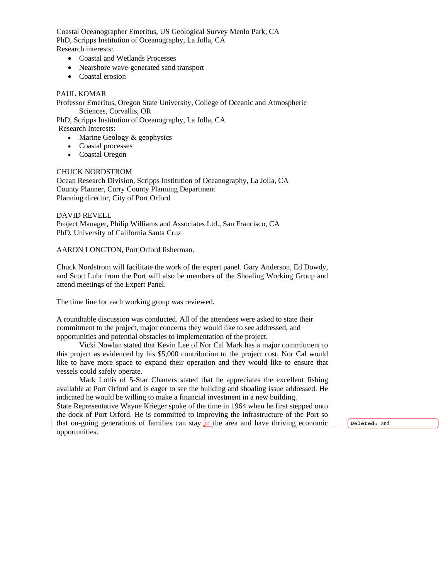Coastal Oceanographer Emeritus, US Geological Survey Menlo Park, CA PhD, Scripps Institution of Oceanography, La Jolla, CA Research interests:

- Coastal and Wetlands Processes
- Nearshore wave-generated sand transport
- Coastal erosion

## PAUL KOMAR

Professor Emeritus, Oregon State University, College of Oceanic and Atmospheric Sciences, Corvallis, OR

PhD, Scripps Institution of Oceanography, La Jolla, CA

Research Interests:

- Marine Geology & geophysics
- Coastal processes
- Coastal Oregon

### CHUCK NORDSTROM

Ocean Research Division, Scripps Institution of Oceanography, La Jolla, CA County Planner, Curry County Planning Department Planning director, City of Port Orford

### DAVID REVELL

Project Manager, Philip Williams and Associates Ltd., San Francisco, CA PhD, University of California Santa Cruz

## AARON LONGTON, Port Orford fisherman.

Chuck Nordstrom will facilitate the work of the expert panel. Gary Anderson, Ed Dowdy, and Scott Luhr from the Port will also be members of the Shoaling Working Group and attend meetings of the Expert Panel.

The time line for each working group was reviewed.

A roundtable discussion was conducted. All of the attendees were asked to state their commitment to the project, major concerns they would like to see addressed, and opportunities and potential obstacles to implementation of the project.

 Vicki Nowlan stated that Kevin Lee of Nor Cal Mark has a major commitment to this project as evidenced by his \$5,000 contribution to the project cost. Nor Cal would like to have more space to expand their operation and they would like to ensure that vessels could safely operate.

 Mark Lottis of 5-Star Charters stated that he appreciates the excellent fishing available at Port Orford and is eager to see the building and shoaling issue addressed. He indicated he would be willing to make a financial investment in a new building.

State Representative Wayne Krieger spoke of the time in 1964 when he first stepped onto the dock of Port Orford. He is committed to improving the infrastructure of the Port so that on-going generations of families can stay in the area and have thriving economic opportunities.

**Deleted:** and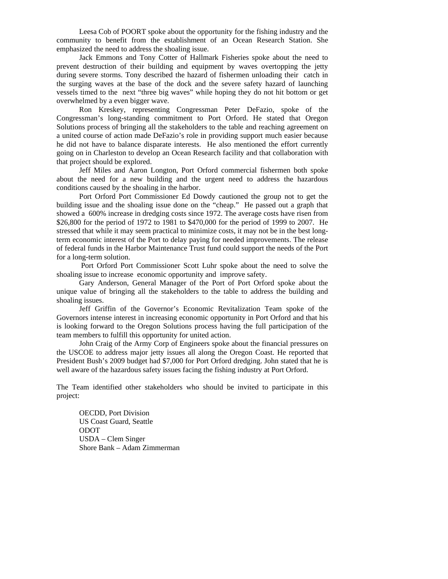Leesa Cob of POORT spoke about the opportunity for the fishing industry and the community to benefit from the establishment of an Ocean Research Station. She emphasized the need to address the shoaling issue.

 Jack Emmons and Tony Cotter of Hallmark Fisheries spoke about the need to prevent destruction of their building and equipment by waves overtopping the jetty during severe storms. Tony described the hazard of fishermen unloading their catch in the surging waves at the base of the dock and the severe safety hazard of launching vessels timed to the next "three big waves" while hoping they do not hit bottom or get overwhelmed by a even bigger wave.

 Ron Kreskey, representing Congressman Peter DeFazio, spoke of the Congressman's long-standing commitment to Port Orford. He stated that Oregon Solutions process of bringing all the stakeholders to the table and reaching agreement on a united course of action made DeFazio's role in providing support much easier because he did not have to balance disparate interests. He also mentioned the effort currently going on in Charleston to develop an Ocean Research facility and that collaboration with that project should be explored.

 Jeff Miles and Aaron Longton, Port Orford commercial fishermen both spoke about the need for a new building and the urgent need to address the hazardous conditions caused by the shoaling in the harbor.

 Port Orford Port Commissioner Ed Dowdy cautioned the group not to get the building issue and the shoaling issue done on the "cheap." He passed out a graph that showed a 600% increase in dredging costs since 1972. The average costs have risen from \$26,800 for the period of 1972 to 1981 to \$470,000 for the period of 1999 to 2007. He stressed that while it may seem practical to minimize costs, it may not be in the best longterm economic interest of the Port to delay paying for needed improvements. The release of federal funds in the Harbor Maintenance Trust fund could support the needs of the Port for a long-term solution.

 Port Orford Port Commissioner Scott Luhr spoke about the need to solve the shoaling issue to increase economic opportunity and improve safety.

 Gary Anderson, General Manager of the Port of Port Orford spoke about the unique value of bringing all the stakeholders to the table to address the building and shoaling issues.

 Jeff Griffin of the Governor's Economic Revitalization Team spoke of the Governors intense interest in increasing economic opportunity in Port Orford and that his is looking forward to the Oregon Solutions process having the full participation of the team members to fulfill this opportunity for united action.

 John Craig of the Army Corp of Engineers spoke about the financial pressures on the USCOE to address major jetty issues all along the Oregon Coast. He reported that President Bush's 2009 budget had \$7,000 for Port Orford dredging. John stated that he is well aware of the hazardous safety issues facing the fishing industry at Port Orford.

The Team identified other stakeholders who should be invited to participate in this project:

 OECDD, Port Division US Coast Guard, Seattle ODOT USDA – Clem Singer Shore Bank – Adam Zimmerman